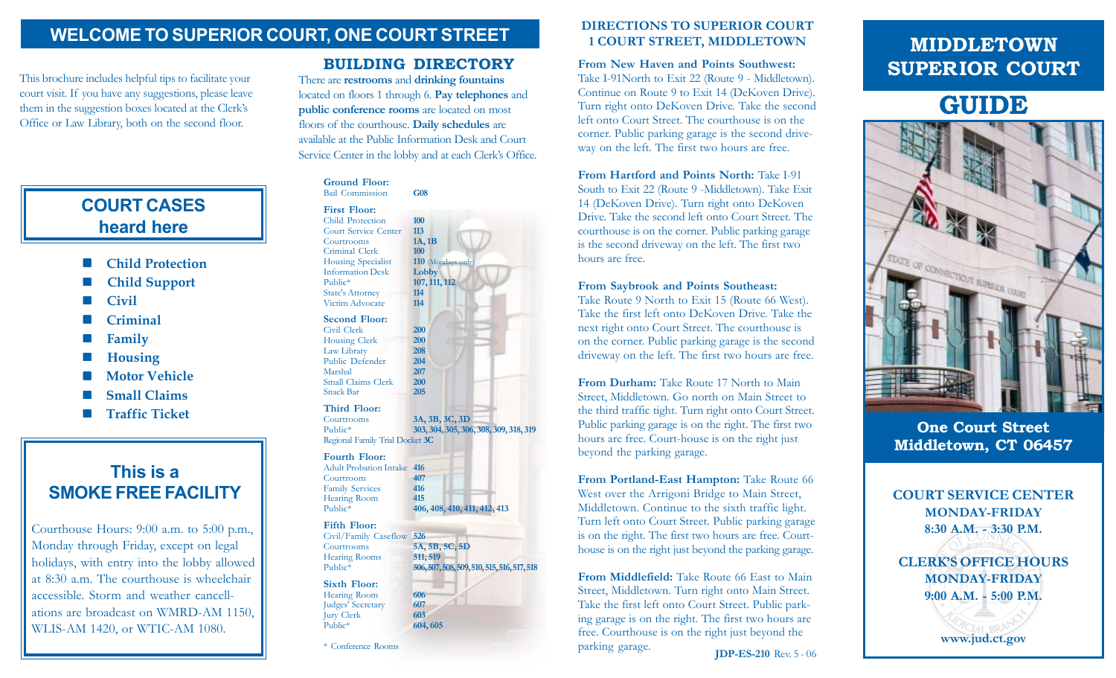## **WELCOME TO SUPERIOR COURT, ONE COURT STREET**

This brochure includes helpful tips to facilitate your court visit. If you have any suggestions, please leave them in the suggestion boxes located at the Clerk's Office or Law Library, both on the second floor.

# **COURT CASES heard here**

- **Child Protection**
- **Child Support**
- **Civil**
- **Criminal**
- **Family**
- **Housing**
- **Motor Vehicle**
- **Small Claims**
- **Traffic Ticket**

# **This is a SMOKE FREE FACILITY**

Courthouse Hours: 9:00 a.m. to 5:00 p.m., Monday through Friday, except on legal holidays, with entry into the lobby allowed at 8:30 a.m. The courthouse is wheelchair accessible. Storm and weather cancellations are broadcast on WMRD-AM 1150, WLIS-AM 1420, or WTIC-AM 1080.

Criminal Clerk **100** Housing Specialist **110** (Mondays Information Desk Lobby **Information Desk** Public\* **107, 111, 112** State's Attorney **114** Victim Advocate **Second Floor:** Civil Clerk **200** Housing Clerk **200**<br>Law Library **208** Law Library Public Defender **204** Marshal **207** Small Claims Clerk **200** Snack Bar **205 Third Floor:** Courtrooms **3A, 3B, 3C, 3D** Public\* **303, 304, 305, 306, 308, 309, 318, 319** Regional Family Trial Docket **3C Fourth Floor:** Adult Probation Intake **416** Courtroom **407** Family Services **416** Hearing Room<br>Public\* Public\* **406, 408, 410, 411, 412, 413 Fifth Floor:** Civil/Family Caseflow **<sup>526</sup>** Courtrooms **5A, 5B, 5C, 5D** Hearing Rooms **511, 519**<br>Public\* **506, 507.** Public\* **506, 507, 508, 509, 510, 515, 516, 517, 518**

**Sixth Floor:** Hearing Room **606**<br> **607**<br> **607** Judges' Secretary **607** Jury Clerk<br>Public\*

**Ground Floor:** Bail Commission **G08**

Child Protection **100** Court Service Center **113** Courtrooms **1A, 1B**

There are **restrooms** and **drinking fountains** located on floors 1 through 6. **Pay telephones** and **public conference rooms** are located on most floors of the courthouse. **Daily schedules** are available at the Public Information Desk and Court Service Center in the lobby and at each Clerk's Office.

**BUILDING DIRECTORY**

**First Floor:**

### \* Conference Rooms

Public\* **604, 605**

### **DIRECTIONS TO SUPERIOR COURT 1 COURT STREET, MIDDLETOWN**

**From New Haven and Points Southwest:** Take I-91North to Exit 22 (Route 9 - Middletown). Continue on Route 9 to Exit 14 (DeKoven Drive). Turn right onto DeKoven Drive. Take the second left onto Court Street. The courthouse is on the corner. Public parking garage is the second driveway on the left. The first two hours are free.

**From Hartford and Points North:** Take I-91 South to Exit 22 (Route 9 -Middletown). Take Exit 14 (DeKoven Drive). Turn right onto DeKoven Drive. Take the second left onto Court Street. The courthouse is on the corner. Public parking garage is the second driveway on the left. The first two hours are free.

### **From Saybrook and Points Southeast:**

Take Route 9 North to Exit 15 (Route 66 West). Take the first left onto DeKoven Drive. Take the next right onto Court Street. The courthouse is on the corner. Public parking garage is the second driveway on the left. The first two hours are free.

From Durham: Take Route 17 North to Main Street, Middletown. Go north on Main Street to the third traffic tight. Turn right onto Court Street. Public parking garage is on the right. The first two hours are free. Court-house is on the right just beyond the parking garage.

**From Portland-East Hampton:** Take Route 66 West over the Arrigoni Bridge to Main Street, Middletown. Continue to the sixth traffic light. Turn left onto Court Street. Public parking garage is on the right. The first two hours are free. Courthouse is on the right just beyond the parking garage.

**From Middlefield:** Take Route 66 East to Main Street, Middletown. Turn right onto Main Street. Take the first left onto Court Street. Public parking garage is on the right. The first two hours are free. Courthouse is on the right just beyond the parking garage.<br>**IDP-ES-210** Rev. 5 - 06

# **MIDDLETOWN SUPERIOR COURT**

# **GUIDE**



**One Court Street Middletown, CT 06457**



**CLERK'S OFFICE HOURS MONDAY-FRIDAY 9:00 A.M. - 5:00 P.M.**

**www.jud.ct.gov**